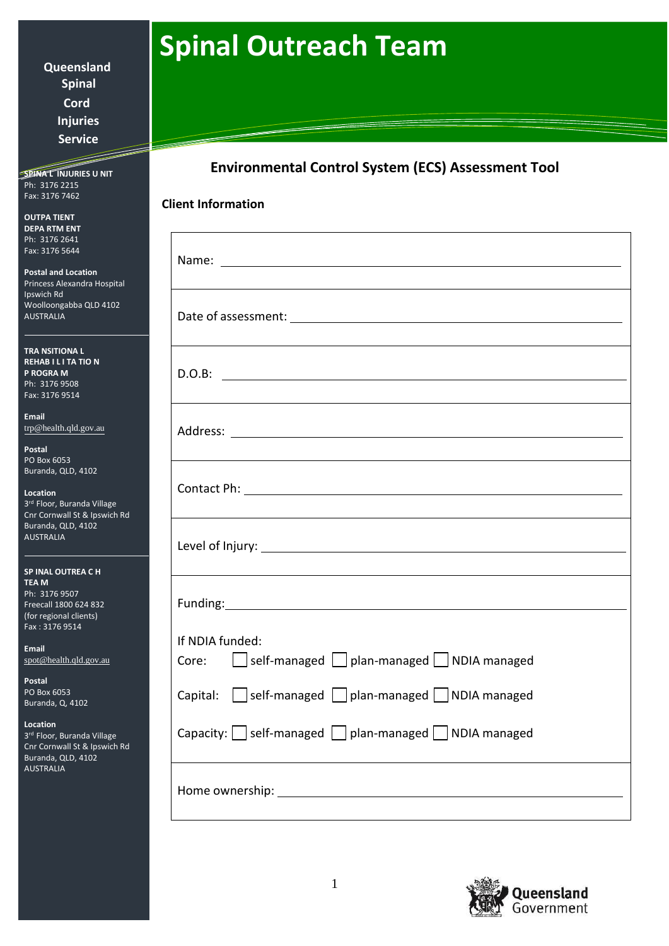## **Spinal Outreach Team**

**Queensland Spinal Cord Injuries Service**

**SPINAT INJURIES U NIT** Ph: 3176 2215 Fax: 3176 7462

**OUTPA TIENT DEPA RTM ENT**  Ph: 3176 2641 Fax: 3176 5644

**Postal and Location**  Princess Alexandra Hospital Ipswich Rd Woolloongabba QLD 4102 AUSTRALIA

**TRA NSITIONA L REHAB I L I TA TIO N P ROGRA M** Ph: 3176 9508 Fax: 3176 9514

**Email** [trp@health.qld.gov.au](mailto:trp@health.qld.gov.au)

**Postal** PO Box 6053 Buranda, QLD, 4102

**Location** 3 rd Floor, Buranda Village Cnr Cornwall St & Ipswich Rd Buranda, QLD, 4102 AUSTRALIA

| <b>SP INAL OUTREA CH</b> |
|--------------------------|
| <b>TEAM</b>              |
| Ph: 3176 9507            |
| Freecall 1800 624 832    |
| (for regional clients)   |
| Fax: 3176 9514           |

**Email** [spot@health.qld.gov.au](mailto:spot@health.qld.gov.au)

**Postal** PO Box 6053 Buranda, Q, 4102

**Location**

3 rd Floor, Buranda Village Cnr Cornwall St & Ipswich Rd Buranda, QLD, 4102 AUSTRALIA

## **Environmental Control System (ECS) Assessment Tool**

| Level of Injury: Note and the Contract of Injury:                                    |
|--------------------------------------------------------------------------------------|
|                                                                                      |
| If NDIA funded:<br>Core: $\Box$ self-managed $\Box$ plan-managed $\Box$ NDIA managed |
| Capital: self-managed plan-managed NDIA managed                                      |
| Capacity: $\Box$ self-managed $\Box$ plan-managed $\Box$ NDIA managed                |
|                                                                                      |

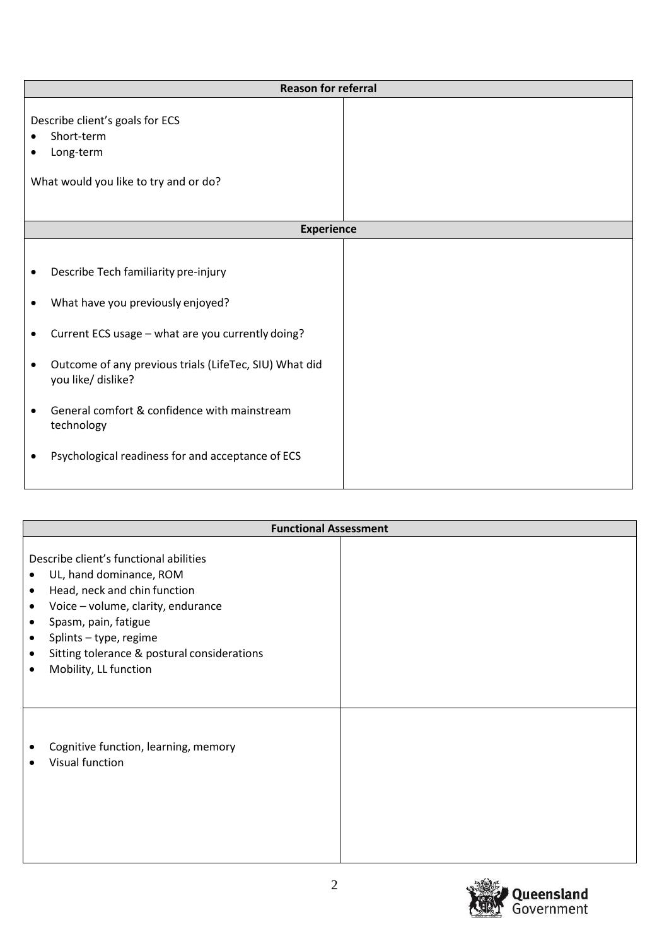|                                                                                                     | <b>Reason for referral</b>                                                                                                                                                                                                                                                                                                        |  |  |
|-----------------------------------------------------------------------------------------------------|-----------------------------------------------------------------------------------------------------------------------------------------------------------------------------------------------------------------------------------------------------------------------------------------------------------------------------------|--|--|
| Describe client's goals for ECS<br>Short-term<br>Long-term<br>What would you like to try and or do? |                                                                                                                                                                                                                                                                                                                                   |  |  |
|                                                                                                     | <b>Experience</b>                                                                                                                                                                                                                                                                                                                 |  |  |
| ٠<br>$\bullet$<br>$\bullet$<br>$\bullet$                                                            | Describe Tech familiarity pre-injury<br>What have you previously enjoyed?<br>Current ECS usage - what are you currently doing?<br>Outcome of any previous trials (LifeTec, SIU) What did<br>you like/ dislike?<br>General comfort & confidence with mainstream<br>technology<br>Psychological readiness for and acceptance of ECS |  |  |

| <b>Functional Assessment</b>                                                                                                                                                                                                                                                                                                    |  |  |
|---------------------------------------------------------------------------------------------------------------------------------------------------------------------------------------------------------------------------------------------------------------------------------------------------------------------------------|--|--|
| Describe client's functional abilities<br>UL, hand dominance, ROM<br>Head, neck and chin function<br>$\bullet$<br>Voice - volume, clarity, endurance<br>$\bullet$<br>Spasm, pain, fatigue<br>٠<br>Splints - type, regime<br>$\bullet$<br>Sitting tolerance & postural considerations<br>٠<br>Mobility, LL function<br>$\bullet$ |  |  |
| Cognitive function, learning, memory<br>Visual function                                                                                                                                                                                                                                                                         |  |  |

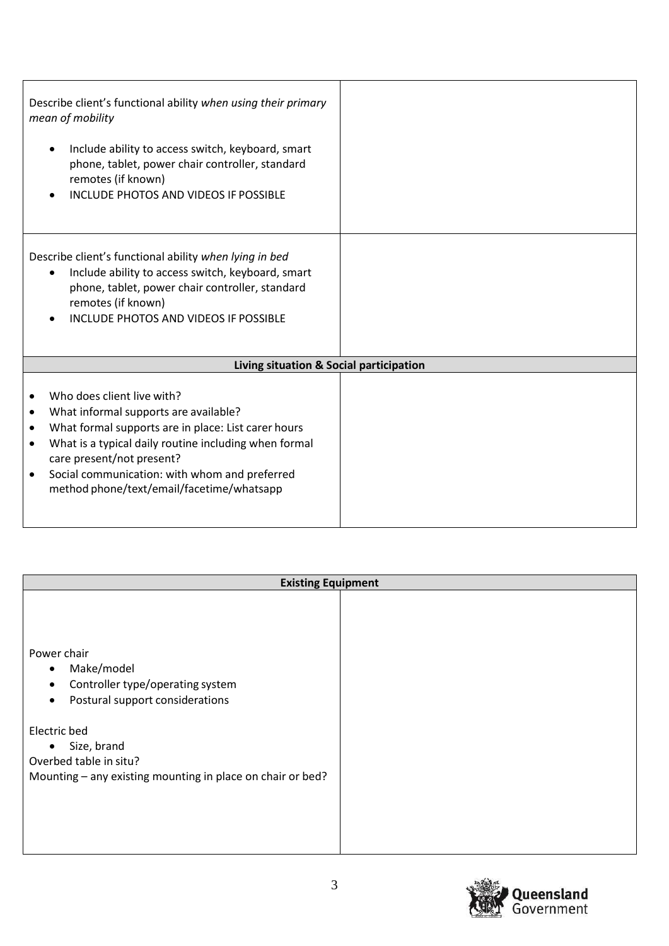| Describe client's functional ability when using their primary<br>mean of mobility<br>Include ability to access switch, keyboard, smart<br>$\bullet$<br>phone, tablet, power chair controller, standard<br>remotes (if known)<br><b>INCLUDE PHOTOS AND VIDEOS IF POSSIBLE</b>                                                                    |  |
|-------------------------------------------------------------------------------------------------------------------------------------------------------------------------------------------------------------------------------------------------------------------------------------------------------------------------------------------------|--|
| Describe client's functional ability when lying in bed<br>Include ability to access switch, keyboard, smart<br>$\bullet$<br>phone, tablet, power chair controller, standard<br>remotes (if known)<br><b>INCLUDE PHOTOS AND VIDEOS IF POSSIBLE</b><br>$\bullet$                                                                                  |  |
| Living situation & Social participation                                                                                                                                                                                                                                                                                                         |  |
| Who does client live with?<br>٠<br>What informal supports are available?<br>٠<br>What formal supports are in place: List carer hours<br>٠<br>What is a typical daily routine including when formal<br>$\bullet$<br>care present/not present?<br>Social communication: with whom and preferred<br>٠<br>method phone/text/email/facetime/whatsapp |  |

| <b>Existing Equipment</b>                                                                                                                                                                                                                                                   |  |  |
|-----------------------------------------------------------------------------------------------------------------------------------------------------------------------------------------------------------------------------------------------------------------------------|--|--|
| Power chair<br>Make/model<br>$\bullet$<br>Controller type/operating system<br>$\bullet$<br>Postural support considerations<br>$\bullet$<br>Electric bed<br>Size, brand<br>$\bullet$<br>Overbed table in situ?<br>Mounting - any existing mounting in place on chair or bed? |  |  |

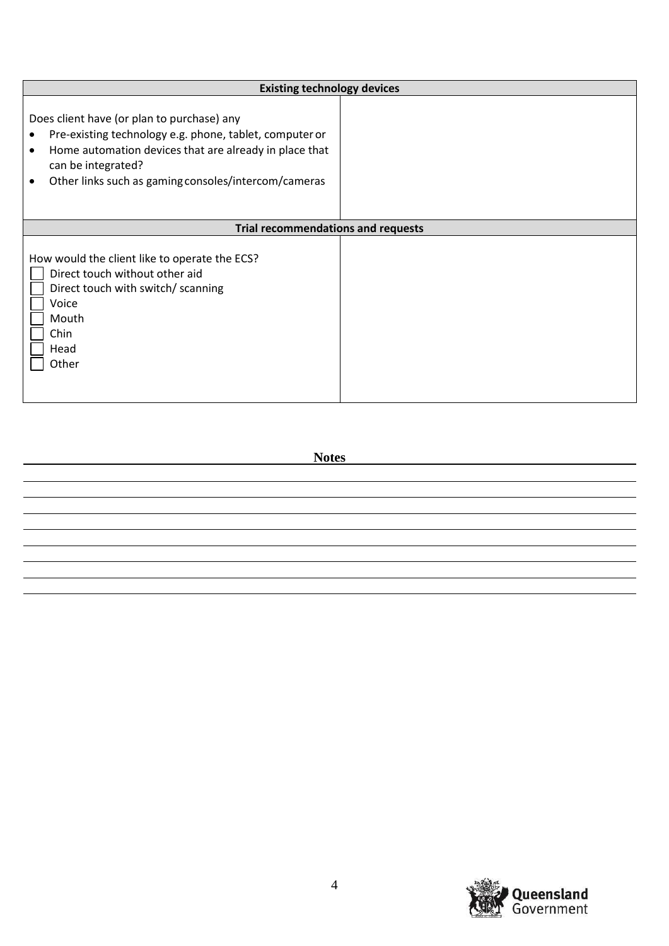| <b>Existing technology devices</b>                                                                                                                                                                                                                 |  |  |
|----------------------------------------------------------------------------------------------------------------------------------------------------------------------------------------------------------------------------------------------------|--|--|
| Does client have (or plan to purchase) any<br>Pre-existing technology e.g. phone, tablet, computer or<br>Home automation devices that are already in place that<br>٠<br>can be integrated?<br>Other links such as gaming consoles/intercom/cameras |  |  |
| <b>Trial recommendations and requests</b>                                                                                                                                                                                                          |  |  |
| How would the client like to operate the ECS?<br>Direct touch without other aid<br>Direct touch with switch/ scanning<br>Voice<br>Mouth<br>Chin<br>Head<br>Other                                                                                   |  |  |

**Notes**

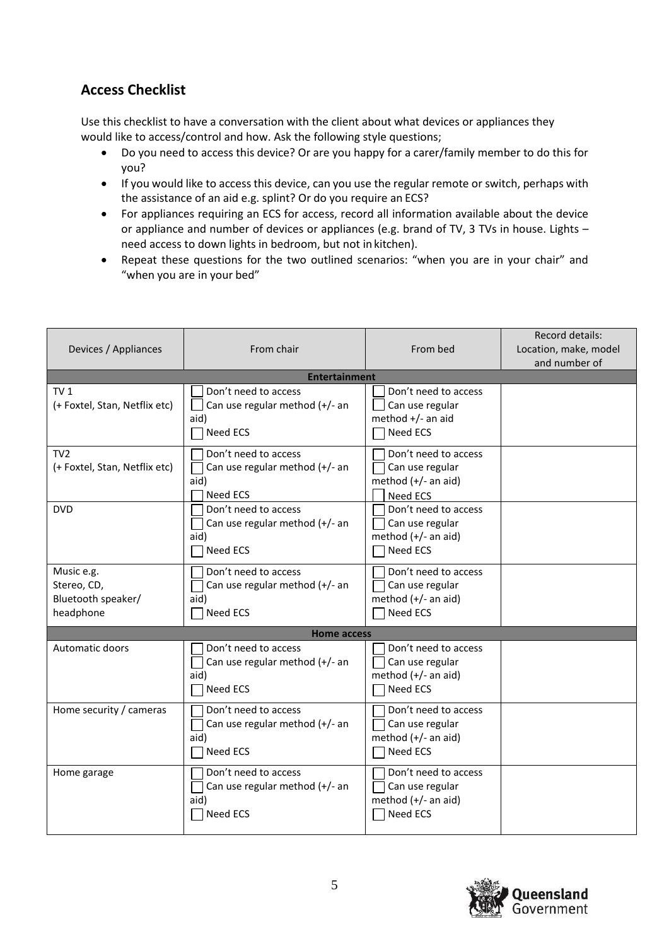## **Access Checklist**

Use this checklist to have a conversation with the client about what devices or appliances they would like to access/control and how. Ask the following style questions;

- Do you need to access this device? Or are you happy for a carer/family member to do this for you?
- If you would like to access this device, can you use the regular remote or switch, perhaps with the assistance of an aid e.g. splint? Or do you require an ECS?
- For appliances requiring an ECS for access, record all information available about the device or appliance and number of devices or appliances (e.g. brand of TV, 3 TVs in house. Lights – need access to down lights in bedroom, but not in kitchen).
- Repeat these questions for the two outlined scenarios: "when you are in your chair" and "when you are in your bed"

| Devices / Appliances                                         | From chair                                                                 | From bed                                                                          | Record details:<br>Location, make, model<br>and number of |
|--------------------------------------------------------------|----------------------------------------------------------------------------|-----------------------------------------------------------------------------------|-----------------------------------------------------------|
|                                                              | <b>Entertainment</b>                                                       |                                                                                   |                                                           |
| TV <sub>1</sub><br>(+ Foxtel, Stan, Netflix etc)             | Don't need to access<br>Can use regular method (+/- an<br>aid)<br>Need ECS | Don't need to access<br>Can use regular<br>method $+/-$ an aid<br>Need ECS        |                                                           |
| TV <sub>2</sub><br>(+ Foxtel, Stan, Netflix etc)             | Don't need to access<br>Can use regular method (+/- an<br>aid)<br>Need ECS | Don't need to access<br>Can use regular<br>method (+/- an aid)<br>Need ECS        |                                                           |
| <b>DVD</b>                                                   | Don't need to access<br>Can use regular method (+/- an<br>aid)<br>Need ECS | Don't need to access<br>Can use regular<br>method (+/- an aid)<br>Need ECS        |                                                           |
| Music e.g.<br>Stereo, CD,<br>Bluetooth speaker/<br>headphone | Don't need to access<br>Can use regular method (+/- an<br>aid)<br>Need ECS | Don't need to access<br>Can use regular<br>method (+/- an aid)<br>Need ECS        |                                                           |
|                                                              | <b>Home access</b>                                                         |                                                                                   |                                                           |
| Automatic doors                                              | Don't need to access<br>Can use regular method (+/- an<br>aid)<br>Need ECS | Don't need to access<br>Can use regular<br>method (+/- an aid)<br>Need ECS        |                                                           |
| Home security / cameras                                      | Don't need to access<br>Can use regular method (+/- an<br>aid)<br>Need ECS | Don't need to access<br>Can use regular<br>method (+/- an aid)<br>Need ECS        |                                                           |
| Home garage                                                  | Don't need to access<br>Can use regular method (+/- an<br>aid)<br>Need ECS | Don't need to access<br>Can use regular<br>method (+/- an aid)<br><b>Need ECS</b> |                                                           |

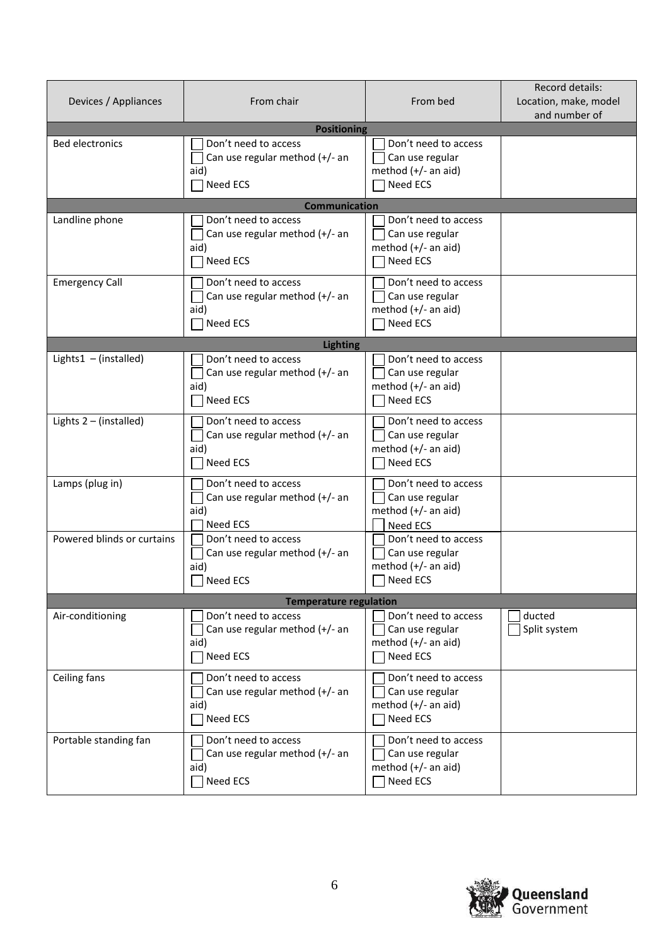| Devices / Appliances       | From chair                                                                        | From bed                                                                            | Record details:<br>Location, make, model<br>and number of |
|----------------------------|-----------------------------------------------------------------------------------|-------------------------------------------------------------------------------------|-----------------------------------------------------------|
|                            | <b>Positioning</b>                                                                |                                                                                     |                                                           |
| <b>Bed electronics</b>     | Don't need to access<br>Can use regular method (+/- an<br>aid)<br><b>Need ECS</b> | Don't need to access<br>Can use regular<br>method $(+/-$ an aid)<br>Need ECS        |                                                           |
|                            | <b>Communication</b>                                                              |                                                                                     |                                                           |
| Landline phone             | Don't need to access<br>Can use regular method (+/- an<br>aid)<br>Need ECS        | Don't need to access<br>Can use regular<br>method $(+/-$ an aid)<br>Need ECS        |                                                           |
| <b>Emergency Call</b>      | Don't need to access<br>Can use regular method (+/- an<br>aid)<br>$\neg$ Need ECS | Don't need to access<br>Can use regular<br>method $(+/-$ an aid)<br>Need ECS        |                                                           |
|                            | <b>Lighting</b>                                                                   |                                                                                     |                                                           |
| Lights1 $-$ (installed)    | Don't need to access<br>Can use regular method (+/- an<br>aid)<br><b>Need ECS</b> | Don't need to access<br>Can use regular<br>method $(+/-$ an aid)<br>Need ECS        |                                                           |
| Lights $2 - (instead)$     | Don't need to access<br>Can use regular method (+/- an<br>aid)<br>Need ECS        | Don't need to access<br>Can use regular<br>method $(+/-$ an aid)<br>Need ECS        |                                                           |
| Lamps (plug in)            | Don't need to access<br>Can use regular method (+/- an<br>aid)<br>Need ECS        | Don't need to access<br>Can use regular<br>method $(+/-$ an aid)<br>Need ECS        |                                                           |
| Powered blinds or curtains | Don't need to access<br>Can use regular method (+/- an<br>aid)<br>$\Box$ Need ECS | Don't need to access<br>Can use regular<br>method $(+/-$ an aid)<br>$\Box$ Need ECS |                                                           |
|                            | <b>Temperature regulation</b>                                                     |                                                                                     |                                                           |
| Air-conditioning           | Don't need to access<br>Can use regular method (+/- an<br>aid)<br>Need ECS        | Don't need to access<br>Can use regular<br>method (+/- an aid)<br>Need ECS          | ducted<br>Split system                                    |
| Ceiling fans               | Don't need to access<br>Can use regular method (+/- an<br>aid)<br>Need ECS        | Don't need to access<br>Can use regular<br>method (+/- an aid)<br>Need ECS          |                                                           |
| Portable standing fan      | Don't need to access<br>Can use regular method (+/- an<br>aid)<br>Need ECS        | Don't need to access<br>Can use regular<br>method (+/- an aid)<br>Need ECS          |                                                           |

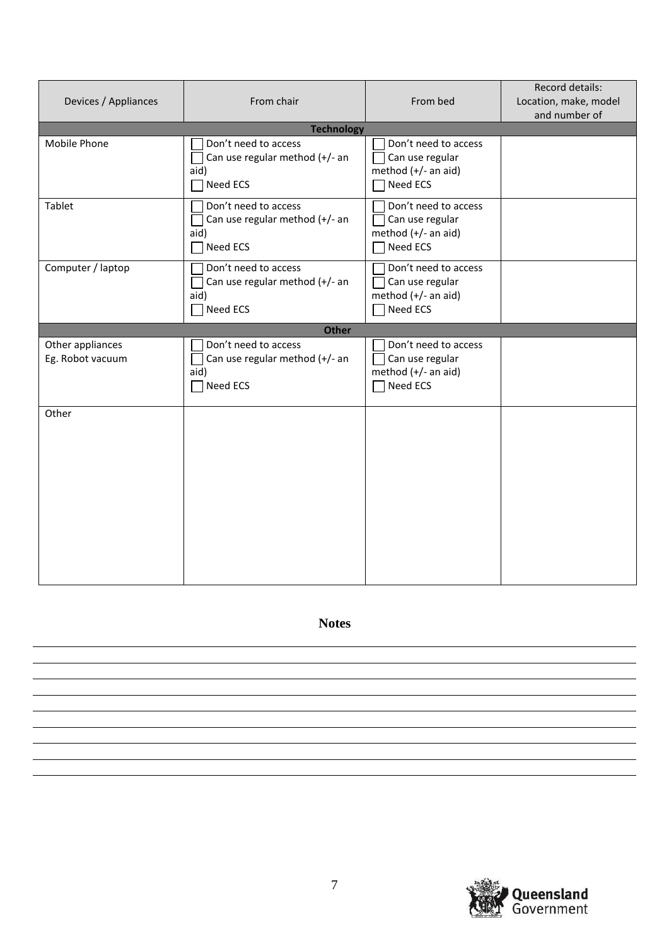| Devices / Appliances                 | From chair                                                                        | From bed                                                                          | Record details:<br>Location, make, model<br>and number of |
|--------------------------------------|-----------------------------------------------------------------------------------|-----------------------------------------------------------------------------------|-----------------------------------------------------------|
|                                      | <b>Technology</b>                                                                 |                                                                                   |                                                           |
| Mobile Phone                         | Don't need to access<br>Can use regular method (+/- an<br>aid)<br>Need ECS        | Don't need to access<br>Can use regular<br>method (+/- an aid)<br>Need ECS        |                                                           |
| Tablet                               | Don't need to access<br>Can use regular method (+/- an<br>aid)<br><b>Need ECS</b> | Don't need to access<br>Can use regular<br>method (+/- an aid)<br><b>Need ECS</b> |                                                           |
| Computer / laptop                    | Don't need to access<br>Can use regular method (+/- an<br>aid)<br>Need ECS        | Don't need to access<br>Can use regular<br>method (+/- an aid)<br>Need ECS        |                                                           |
|                                      | <b>Other</b>                                                                      |                                                                                   |                                                           |
| Other appliances<br>Eg. Robot vacuum | Don't need to access<br>Can use regular method (+/- an<br>aid)<br>Need ECS        | Don't need to access<br>Can use regular<br>method (+/- an aid)<br>Need ECS        |                                                           |
| Other                                |                                                                                   |                                                                                   |                                                           |

**Notes**